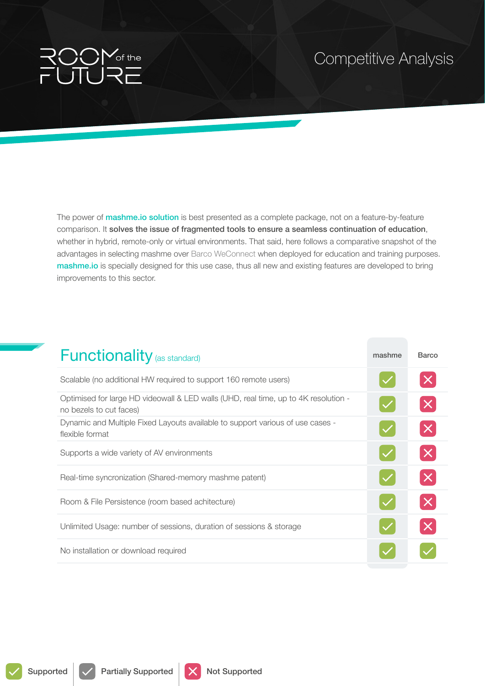## of the

## Competitive Analysis

The power of **mashme.io solution** is best presented as a complete package, not on a feature-by-feature comparison. It solves the issue of fragmented tools to ensure a seamless continuation of education, whether in hybrid, remote-only or virtual environments. That said, here follows a comparative snapshot of the advantages in selecting mashme over Barco WeConnect when deployed for education and training purposes. mashme.io is specially designed for this use case, thus all new and existing features are developed to bring improvements to this sector.

| <b>Functionality</b> (as standard)                                                                             | mashme | Barco                       |
|----------------------------------------------------------------------------------------------------------------|--------|-----------------------------|
| Scalable (no additional HW required to support 160 remote users)                                               |        |                             |
| Optimised for large HD videowall & LED walls (UHD, real time, up to 4K resolution -<br>no bezels to cut faces) |        | $\times$                    |
| Dynamic and Multiple Fixed Layouts available to support various of use cases -<br>flexible format              |        | $ \boldsymbol{\mathsf{X}} $ |
| Supports a wide variety of AV environments                                                                     |        |                             |
| Real-time syncronization (Shared-memory mashme patent)                                                         |        |                             |
| Room & File Persistence (room based achitecture)                                                               |        |                             |
| Unlimited Usage: number of sessions, duration of sessions & storage                                            |        | $\times$                    |
| No installation or download required                                                                           |        |                             |

Supported  $\sqrt{\phantom{a}}$  Partially Supported  $\sqrt{\phantom{a}}$  Not Supported

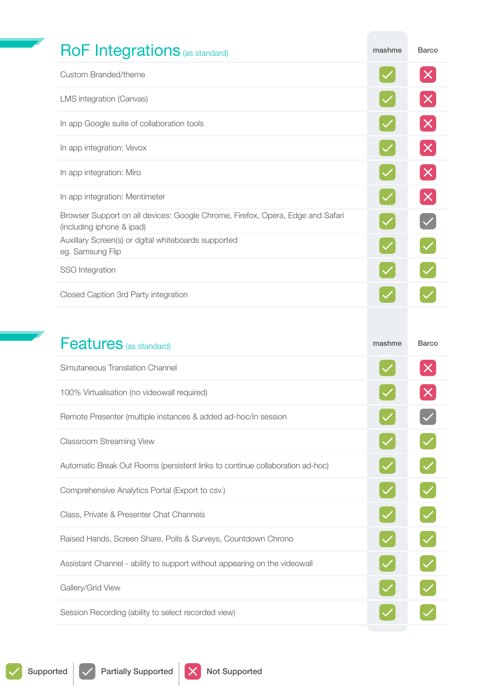| <b>RoF Integrations</b> (as standard)                                                                       | mashme | <b>Barco</b>                                                             |
|-------------------------------------------------------------------------------------------------------------|--------|--------------------------------------------------------------------------|
| Custom Branded/theme                                                                                        |        | $\boldsymbol{\times}$                                                    |
| LMS integration (Canvas)                                                                                    |        | $\boldsymbol{\times}$                                                    |
| In app Google suite of collaboration tools                                                                  |        | $\mathbf{X}$                                                             |
| In app integration: Vevox                                                                                   |        | $\times$                                                                 |
| In app integration: Miro                                                                                    |        | $\left[\times\right]$                                                    |
| In app integration: Mentimeter                                                                              |        | $\mathsf{X}% _{0}\left( X_{0}\right) =\mathsf{X}^{1}\left( X_{0}\right)$ |
| Browser Support on all devices: Google Chrome, Firefox, Opera, Edge and Safari<br>(including iphone & ipad) |        |                                                                          |
| Auxillary Screen(s) or dgital whiteboards supported<br>eg. Samsung Flip                                     |        |                                                                          |
| SSO Integration                                                                                             |        |                                                                          |
| Closed Caption 3rd Party integration                                                                        |        |                                                                          |
|                                                                                                             |        |                                                                          |
| <b>Features</b> (as standard)                                                                               | mashme | <b>Barco</b>                                                             |
| Simutaneous Translation Channel                                                                             |        |                                                                          |
| 100% Virtualisation (no videowall required)                                                                 |        |                                                                          |
| Remote Presenter (multiple instances & added ad-hoc/in session                                              |        |                                                                          |
| <b>Classroom Streaming View</b>                                                                             |        |                                                                          |
| Automatic Break Out Rooms (persistent links to continue collaboration ad-hoc)                               |        |                                                                          |
| Comprehensive Analytics Portal (Export to csv.)                                                             |        |                                                                          |
| Class, Private & Presenter Chat Channels                                                                    |        |                                                                          |

Raised Hands, Screen Share, Polls & Surveys, Countdown Chrono

Assistant Channel - ability to support without appearing on the videowall

Gallery/Grid View

Session Recording (ability to select recorded view)